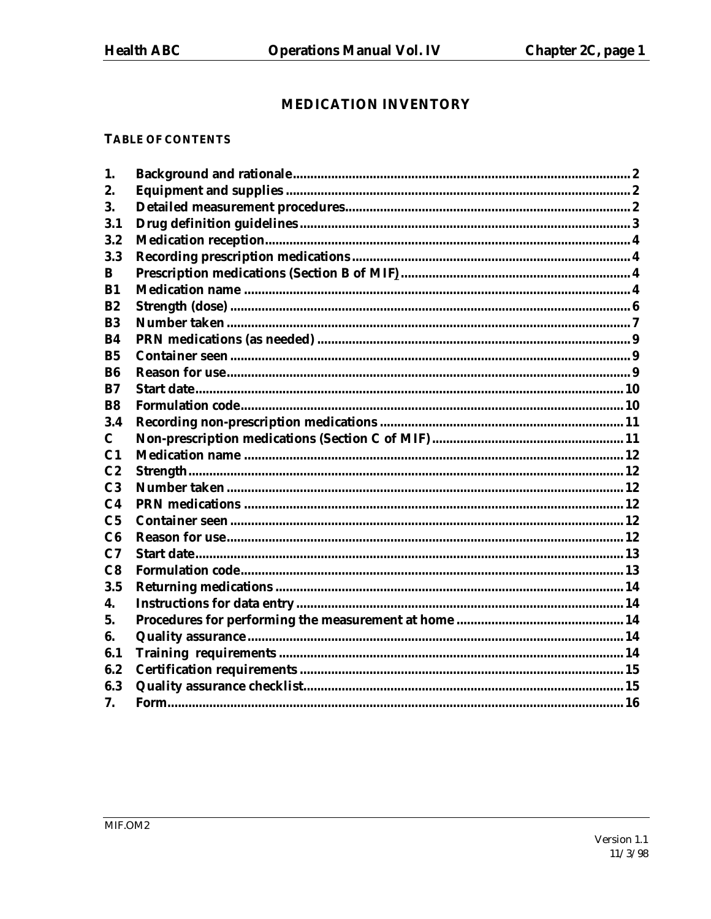# **MEDICATION INVENTORY**

#### **TABLE OF CONTENTS**

| 1.             |  |
|----------------|--|
| 2.             |  |
| 3.             |  |
| 3.1            |  |
| 3.2            |  |
| 3.3            |  |
| B              |  |
| $B1$           |  |
| R2             |  |
| <b>B3</b>      |  |
| <b>B4</b>      |  |
| B <sub>5</sub> |  |
| <b>B6</b>      |  |
| R7             |  |
| <b>B8</b>      |  |
| 3.4            |  |
| $\mathbf C$    |  |
| C <sub>1</sub> |  |
| C <sub>2</sub> |  |
| C <sub>3</sub> |  |
| C <sub>4</sub> |  |
| C <sub>5</sub> |  |
| C6             |  |
| C7             |  |
| C8             |  |
| 3.5            |  |
| 4.             |  |
| 5.             |  |
| 6.             |  |
| 6.1            |  |
| 6.2            |  |
| 6.3            |  |
| 7.             |  |
|                |  |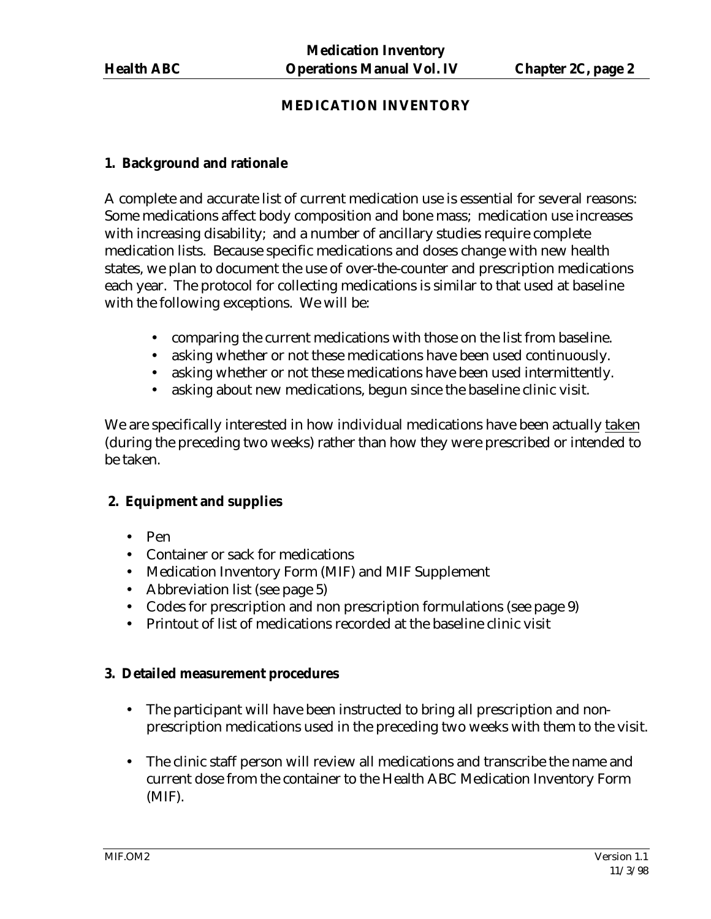## **MEDICATION INVENTORY**

#### **1. Background and rationale**

A complete and accurate list of current medication use is essential for several reasons: Some medications affect body composition and bone mass; medication use increases with increasing disability; and a number of ancillary studies require complete medication lists. Because specific medications and doses change with new health states, we plan to document the use of over-the-counter and prescription medications each year. The protocol for collecting medications is similar to that used at baseline with the following exceptions. We will be:

- comparing the current medications with those on the list from baseline.
- asking whether or not these medications have been used continuously.
- asking whether or not these medications have been used intermittently.
- asking about new medications, begun since the baseline clinic visit.

We are specifically interested in how individual medications have been actually taken (during the preceding two weeks) rather than how they were prescribed or intended to be taken.

#### **2. Equipment and supplies**

- Pen
- Container or sack for medications
- Medication Inventory Form (MIF) and MIF Supplement
- Abbreviation list (see page 5)
- Codes for prescription and non prescription formulations (see page 9)
- Printout of list of medications recorded at the baseline clinic visit

#### **3. Detailed measurement procedures**

- The participant will have been instructed to bring all prescription and nonprescription medications used in the preceding two weeks with them to the visit.
- The clinic staff person will review all medications and transcribe the name and current dose from the container to the Health ABC Medication Inventory Form (MIF).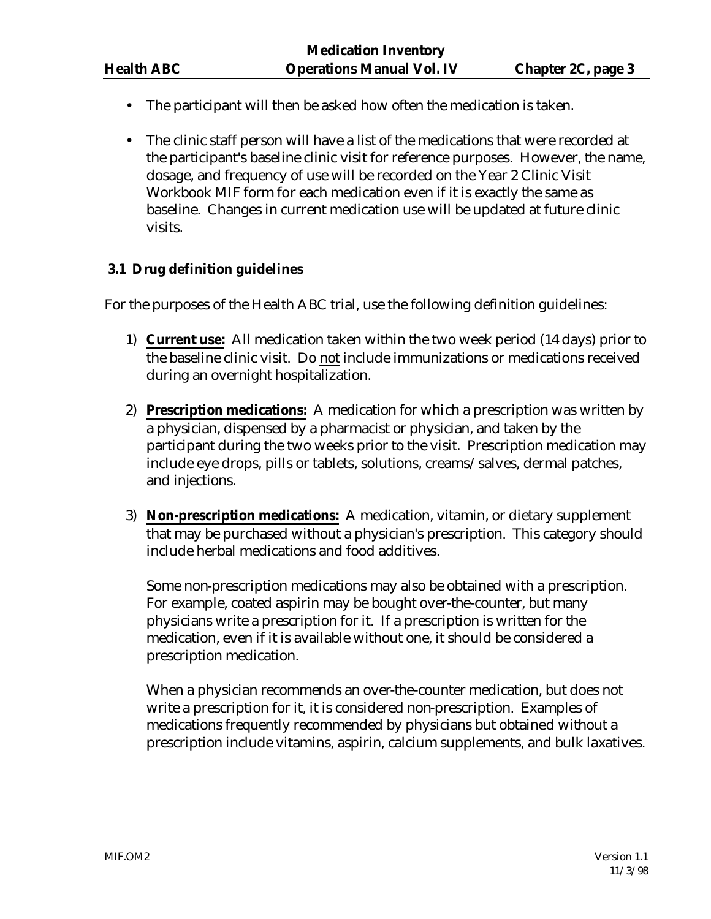- The participant will then be asked how often the medication is taken.
- The clinic staff person will have a list of the medications that were recorded at the participant's baseline clinic visit for reference purposes. However, the name, dosage, and frequency of use will be recorded on the Year 2 Clinic Visit Workbook MIF form for each medication even if it is exactly the same as baseline. Changes in current medication use will be updated at future clinic visits.

## **3.1 Drug definition guidelines**

For the purposes of the Health ABC trial, use the following definition guidelines:

- 1) **Current use:** All medication taken within the two week period (14 days) prior to the baseline clinic visit. Do not include immunizations or medications received during an overnight hospitalization.
- 2) **Prescription medications:** A medication for which a prescription was written by a physician, dispensed by a pharmacist or physician, and taken by the participant during the two weeks prior to the visit. Prescription medication may include eye drops, pills or tablets, solutions, creams/salves, dermal patches, and injections.
- 3) **Non-prescription medications:** A medication, vitamin, or dietary supplement that may be purchased without a physician's prescription. This category should include herbal medications and food additives.

Some non-prescription medications may also be obtained with a prescription. For example, coated aspirin may be bought over-the-counter, but many physicians write a prescription for it. If a prescription is written for the medication, even if it is available without one, it should be considered a prescription medication.

When a physician recommends an over-the-counter medication, but does not write a prescription for it, it is considered non-prescription. Examples of medications frequently recommended by physicians but obtained without a prescription include vitamins, aspirin, calcium supplements, and bulk laxatives.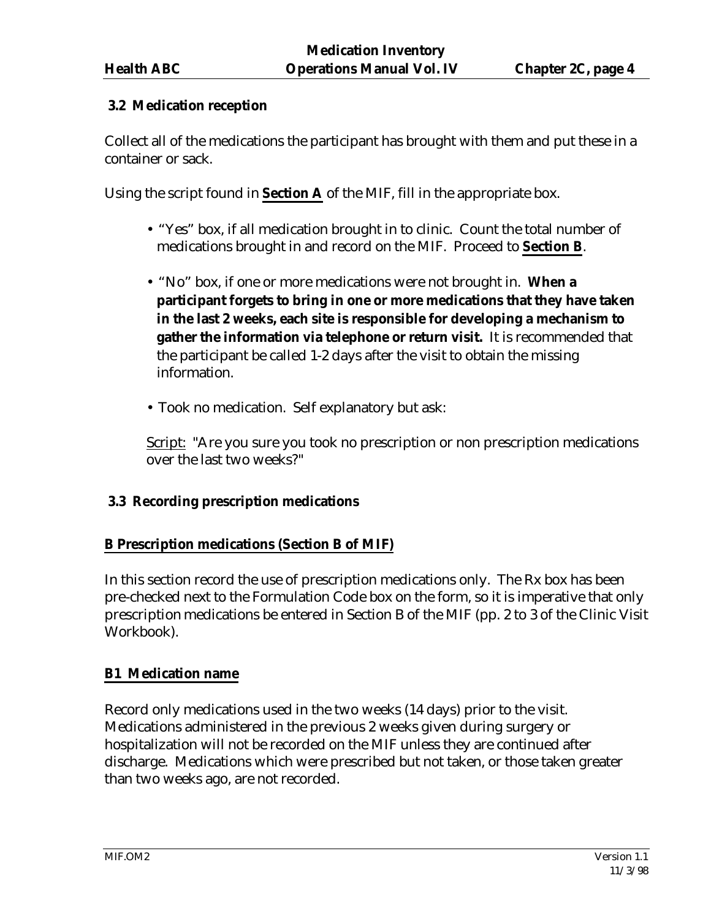## **3.2 Medication reception**

Collect all of the medications the participant has brought with them and put these in a container or sack.

Using the script found in **Section A** of the MIF, fill in the appropriate box.

- "Yes" box, if all medication brought in to clinic. Count the total number of medications brought in and record on the MIF. Proceed to **Section B**.
- "No" box, if one or more medications were not brought in. **When a participant forgets to bring in one or more medications that they have taken in the last 2 weeks, each site is responsible for developing a mechanism to gather the information via telephone or return visit.** It is recommended that the participant be called 1-2 days after the visit to obtain the missing information.
- Took no medication. Self explanatory but ask:

Script: "Are you sure you took no prescription or non prescription medications over the last two weeks?"

## **3.3 Recording prescription medications**

## **B Prescription medications (Section B of MIF)**

In this section record the use of prescription medications only. The Rx box has been pre-checked next to the Formulation Code box on the form, so it is imperative that only prescription medications be entered in Section B of the MIF (pp. 2 to 3 of the Clinic Visit Workbook).

## **B1 Medication name**

Record only medications used in the two weeks (14 days) prior to the visit. Medications administered in the previous 2 weeks given during surgery or hospitalization will not be recorded on the MIF unless they are continued after discharge. Medications which were prescribed but not taken, or those taken greater than two weeks ago, are not recorded.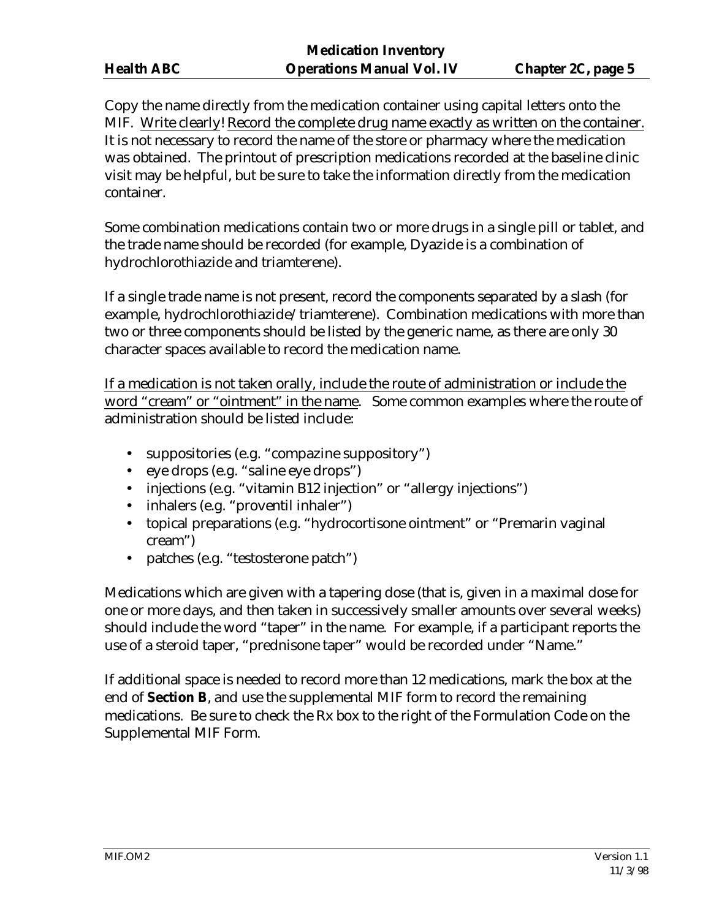Copy the name directly from the medication container using capital letters onto the MIF. Write clearly! Record the complete drug name exactly as written on the container. It is not necessary to record the name of the store or pharmacy where the medication was obtained. The printout of prescription medications recorded at the baseline clinic visit may be helpful, but be sure to take the information directly from the medication container.

Some combination medications contain two or more drugs in a single pill or tablet, and the trade name should be recorded (for example, Dyazide is a combination of hydrochlorothiazide and triamterene).

If a single trade name is not present, record the components separated by a slash (for example, hydrochlorothiazide/triamterene). Combination medications with more than two or three components should be listed by the generic name, as there are only 30 character spaces available to record the medication name.

If a medication is not taken orally, include the route of administration or include the word "cream" or "ointment" in the name. Some common examples where the route of administration should be listed include:

- suppositories (e.g. "compazine suppository")
- eye drops (e.g. "saline eye drops")
- injections (e.g. "vitamin B12 injection" or "allergy injections")
- inhalers (e.g. "proventil inhaler")
- topical preparations (e.g. "hydrocortisone ointment" or "Premarin vaginal cream")
- patches (e.g. "testosterone patch")

Medications which are given with a tapering dose (that is, given in a maximal dose for one or more days, and then taken in successively smaller amounts over several weeks) should include the word "taper" in the name. For example, if a participant reports the use of a steroid taper, "prednisone taper" would be recorded under "Name."

If additional space is needed to record more than 12 medications, mark the box at the end of **Section B**, and use the supplemental MIF form to record the remaining medications. Be sure to check the Rx box to the right of the Formulation Code on the Supplemental MIF Form.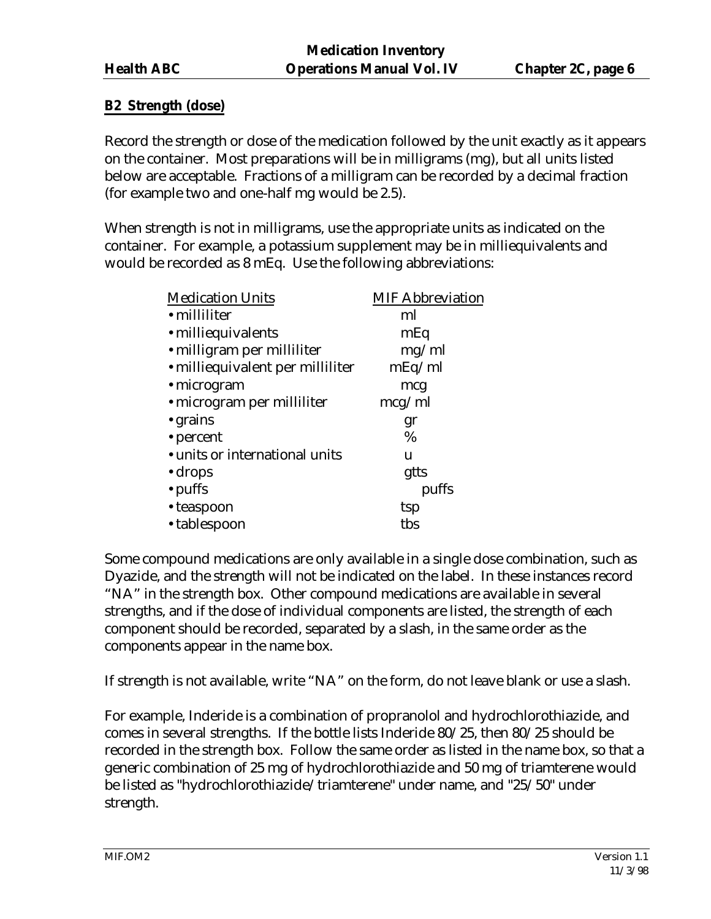## **B2 Strength (dose)**

Record the strength or dose of the medication followed by the unit exactly as it appears on the container. Most preparations will be in milligrams (mg), but all units listed below are acceptable. Fractions of a milligram can be recorded by a decimal fraction (for example two and one-half mg would be 2.5).

When strength is not in milligrams, use the appropriate units as indicated on the container. For example, a potassium supplement may be in milliequivalents and would be recorded as 8 mEq. Use the following abbreviations:

| <b>Medication Units</b>          | <b>MIF Abbreviation</b> |
|----------------------------------|-------------------------|
| • milliliter                     | ml                      |
| • milliequivalents               | mEq                     |
| • milligram per milliliter       | mg/ml                   |
| • milliequivalent per milliliter | mEq/ml                  |
| $\cdot$ microgram                | mcg                     |
| • microgram per milliliter       | mcg/ml                  |
| • grains                         | gr                      |
| • percent                        | $\%$                    |
| • units or international units   | u                       |
| $\cdot$ drops                    | gtts                    |
| • puffs                          | puffs                   |
| • teaspoon                       | tsp                     |
| • tablespoon                     | tbs                     |
|                                  |                         |

Some compound medications are only available in a single dose combination, such as Dyazide, and the strength will not be indicated on the label. In these instances record "NA" in the strength box. Other compound medications are available in several strengths, and if the dose of individual components are listed, the strength of each component should be recorded, separated by a slash, in the same order as the components appear in the name box.

If strength is not available, write "NA" on the form, do not leave blank or use a slash.

For example, Inderide is a combination of propranolol and hydrochlorothiazide, and comes in several strengths. If the bottle lists Inderide 80/25, then 80/25 should be recorded in the strength box. Follow the same order as listed in the name box, so that a generic combination of 25 mg of hydrochlorothiazide and 50 mg of triamterene would be listed as "hydrochlorothiazide/triamterene" under name, and "25/50" under strength.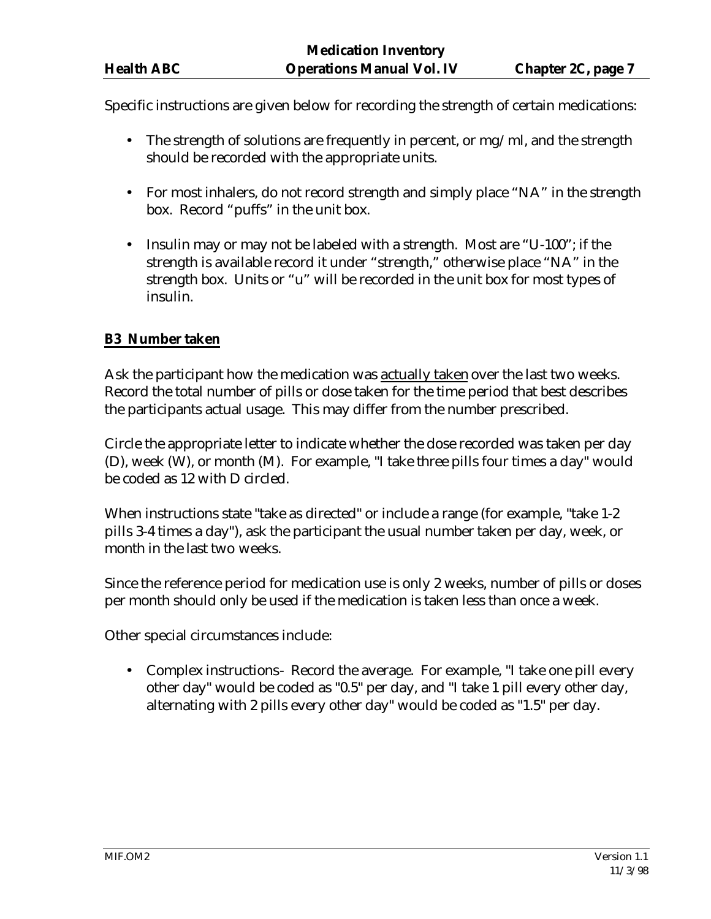Specific instructions are given below for recording the strength of certain medications:

- The strength of solutions are frequently in percent, or mg/ml, and the strength should be recorded with the appropriate units.
- For most inhalers, do not record strength and simply place "NA" in the strength box. Record "puffs" in the unit box.
- Insulin may or may not be labeled with a strength. Most are "U-100"; if the strength is available record it under "strength," otherwise place "NA" in the strength box. Units or "u" will be recorded in the unit box for most types of insulin.

## **B3 Number taken**

Ask the participant how the medication was actually taken over the last two weeks. Record the total number of pills or dose taken for the time period that best describes the participants actual usage. This may differ from the number prescribed.

Circle the appropriate letter to indicate whether the dose recorded was taken per day (D), week (W), or month (M). For example, "I take three pills four times a day" would be coded as 12 with D circled.

When instructions state "take as directed" or include a range (for example, "take 1-2 pills 3-4 times a day"), ask the participant the usual number taken per day, week, or month in the last two weeks.

Since the reference period for medication use is only 2 weeks, number of pills or doses per month should only be used if the medication is taken less than once a week.

Other special circumstances include:

• Complex instructions - Record the average. For example, "I take one pill every other day" would be coded as "0.5" per day, and "I take 1 pill every other day, alternating with 2 pills every other day" would be coded as "1.5" per day.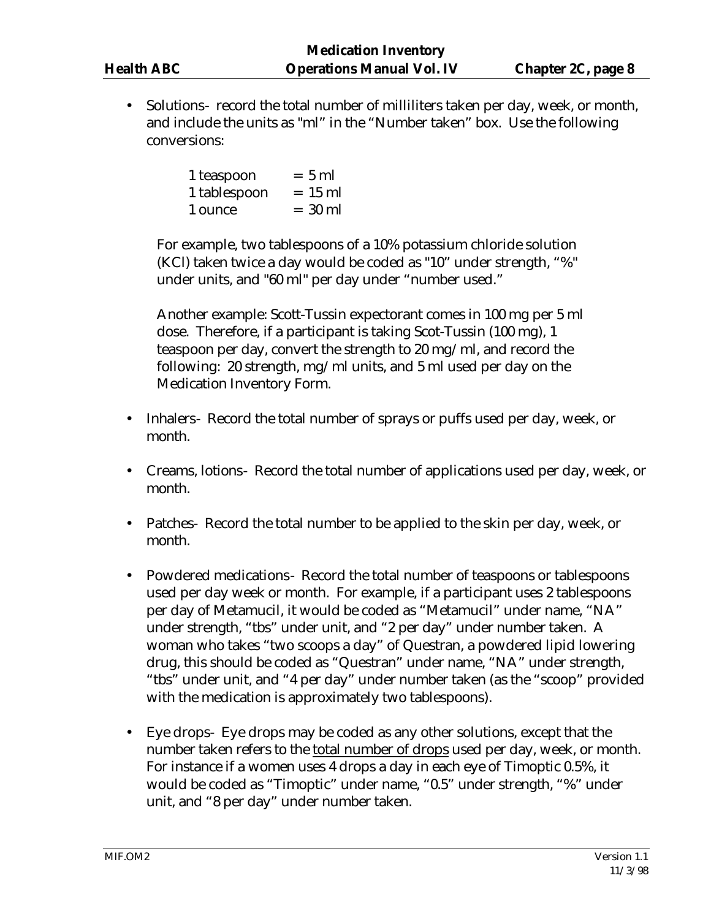• Solutions- record the total number of milliliters taken per day, week, or month, and include the units as "ml" in the "Number taken" box. Use the following conversions:

| 1 teaspoon   | $= 5$ ml  |
|--------------|-----------|
| 1 tablespoon | $= 15$ ml |
| 1 ounce      | $= 30$ ml |

For example, two tablespoons of a 10% potassium chloride solution (KCl) taken twice a day would be coded as "10" under strength, "%" under units, and "60 ml" per day under "number used."

Another example: Scott-Tussin expectorant comes in 100 mg per 5 ml dose. Therefore, if a participant is taking Scot-Tussin (100 mg), 1 teaspoon per day, convert the strength to 20 mg/ml, and record the following: 20 strength, mg/ml units, and 5 ml used per day on the Medication Inventory Form.

- Inhalers- Record the total number of sprays or puffs used per day, week, or month.
- Creams, lotions- Record the total number of applications used per day, week, or month.
- Patches- Record the total number to be applied to the skin per day, week, or month.
- Powdered medications- Record the total number of teaspoons or tablespoons used per day week or month. For example, if a participant uses 2 tablespoons per day of Metamucil, it would be coded as "Metamucil" under name, "NA" under strength, "tbs" under unit, and "2 per day" under number taken. A woman who takes "two scoops a day" of Questran, a powdered lipid lowering drug, this should be coded as "Questran" under name, "NA" under strength, "tbs" under unit, and "4 per day" under number taken (as the "scoop" provided with the medication is approximately two tablespoons).
- Eye drops- Eye drops may be coded as any other solutions, except that the number taken refers to the total number of drops used per day, week, or month. For instance if a women uses 4 drops a day in each eye of Timoptic 0.5%, it would be coded as "Timoptic" under name, "0.5" under strength, "%" under unit, and "8 per day" under number taken.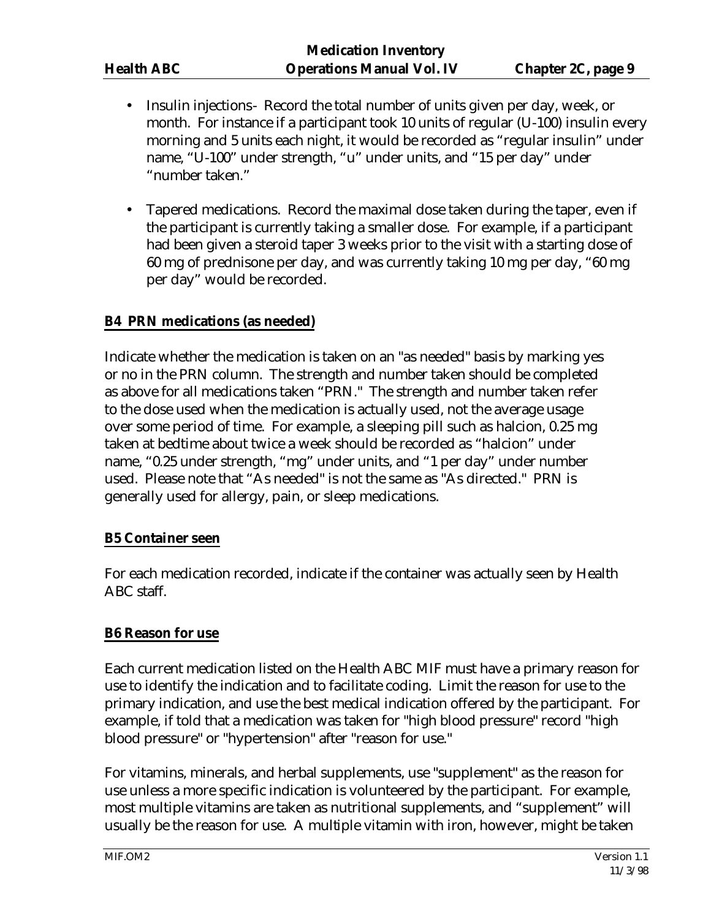- Insulin injections- Record the total number of units given per day, week, or month. For instance if a participant took 10 units of regular (U-100) insulin every morning and 5 units each night, it would be recorded as "regular insulin" under name, "U-100" under strength, "u" under units, and "15 per day" under "number taken."
- Tapered medications. Record the maximal dose taken during the taper, even if the participant is currently taking a smaller dose. For example, if a participant had been given a steroid taper 3 weeks prior to the visit with a starting dose of 60 mg of prednisone per day, and was currently taking 10 mg per day, "60 mg per day" would be recorded.

## **B4 PRN medications (as needed)**

Indicate whether the medication is taken on an "as needed" basis by marking yes or no in the PRN column. The strength and number taken should be completed as above for all medications taken "PRN." The strength and number taken refer to the dose used when the medication is actually used, not the average usage over some period of time. For example, a sleeping pill such as halcion, 0.25 mg taken at bedtime about twice a week should be recorded as "halcion" under name, "0.25 under strength, "mg" under units, and "1 per day" under number used. Please note that "As needed" is not the same as "As directed." PRN is generally used for allergy, pain, or sleep medications.

#### **B5 Container seen**

For each medication recorded, indicate if the container was actually seen by Health ABC staff.

#### **B6 Reason for use**

Each current medication listed on the Health ABC MIF must have a primary reason for use to identify the indication and to facilitate coding. Limit the reason for use to the primary indication, and use the best medical indication offered by the participant. For example, if told that a medication was taken for "high blood pressure" record "high blood pressure" or "hypertension" after "reason for use."

For vitamins, minerals, and herbal supplements, use "supplement" as the reason for use unless a more specific indication is volunteered by the participant. For example, most multiple vitamins are taken as nutritional supplements, and "supplement" will usually be the reason for use. A multiple vitamin with iron, however, might be taken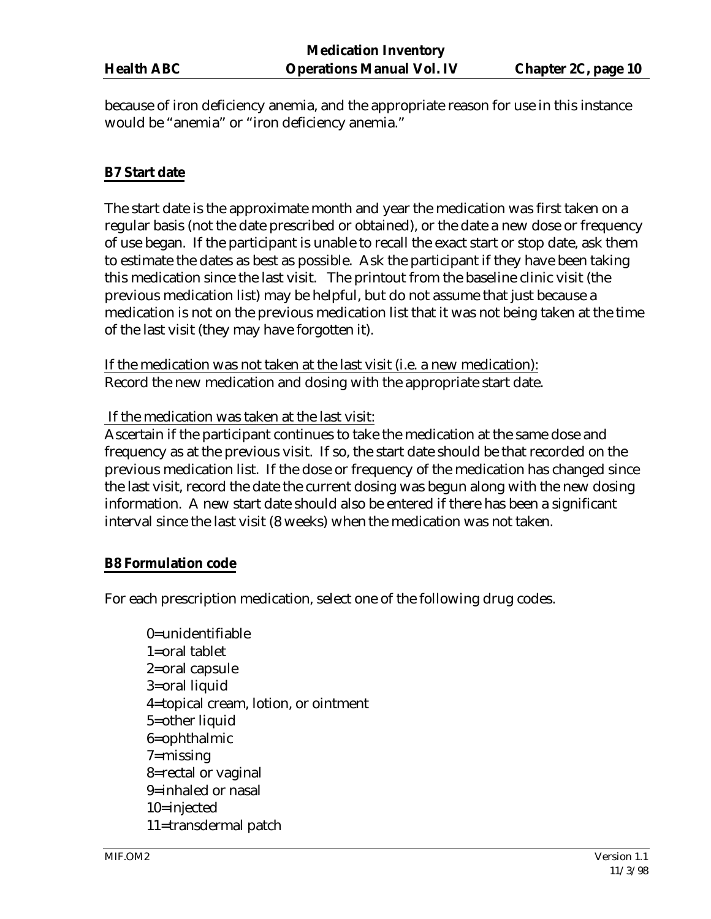because of iron deficiency anemia, and the appropriate reason for use in this instance would be "anemia" or "iron deficiency anemia."

## **B7 Start date**

The start date is the approximate month and year the medication was first taken on a regular basis (not the date prescribed or obtained), or the date a new dose or frequency of use began. If the participant is unable to recall the exact start or stop date, ask them to estimate the dates as best as possible. Ask the participant if they have been taking this medication since the last visit. The printout from the baseline clinic visit (the previous medication list) may be helpful, but do not assume that just because a medication is not on the previous medication list that it was not being taken at the time of the last visit (they may have forgotten it).

If the medication was not taken at the last visit (i.e. a new medication): Record the new medication and dosing with the appropriate start date.

If the medication was taken at the last visit:

Ascertain if the participant continues to take the medication at the same dose and frequency as at the previous visit. If so, the start date should be that recorded on the previous medication list. If the dose or frequency of the medication has changed since the last visit, record the date the current dosing was begun along with the new dosing information. A new start date should also be entered if there has been a significant interval since the last visit (8 weeks) when the medication was not taken.

#### **B8 Formulation code**

For each prescription medication, select one of the following drug codes.

0=unidentifiable 1=oral tablet 2=oral capsule 3=oral liquid 4=topical cream, lotion, or ointment 5=other liquid 6=ophthalmic 7=missing 8=rectal or vaginal 9=inhaled or nasal 10=injected 11=transdermal patch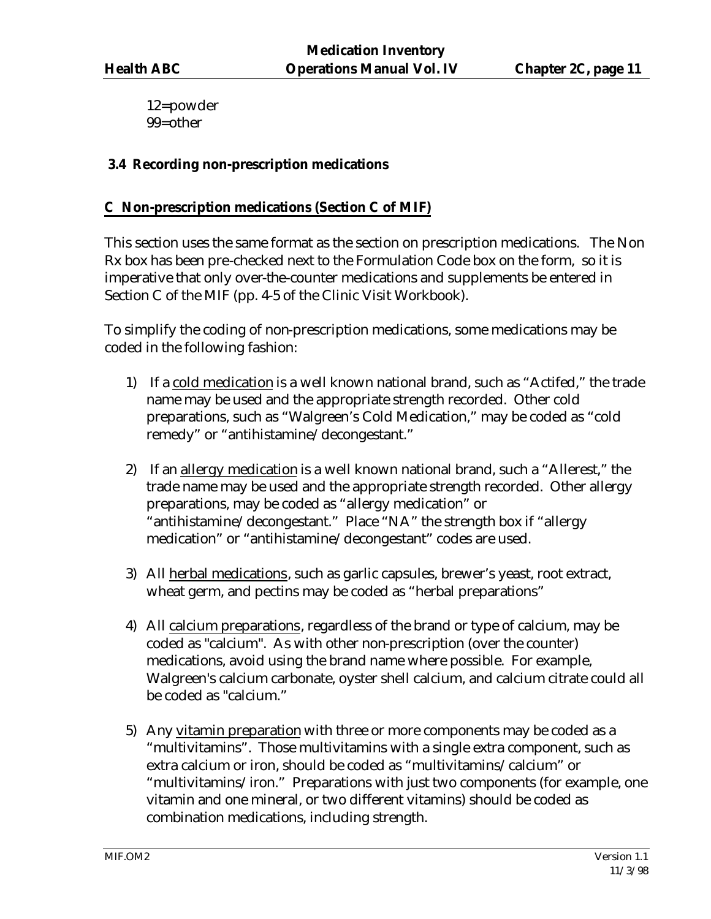12=powder 99=other

## **3.4 Recording non-prescription medications**

## **C Non-prescription medications (Section C of MIF)**

This section uses the same format as the section on prescription medications. The Non Rx box has been pre-checked next to the Formulation Code box on the form, so it is imperative that only over-the-counter medications and supplements be entered in Section C of the MIF (pp. 4-5 of the Clinic Visit Workbook).

To simplify the coding of non-prescription medications, some medications may be coded in the following fashion:

- 1) If a cold medication is a well known national brand, such as "Actifed," the trade name may be used and the appropriate strength recorded. Other cold preparations, such as "Walgreen's Cold Medication," may be coded as "cold remedy" or "antihistamine/decongestant."
- 2) If an allergy medication is a well known national brand, such a "Allerest," the trade name may be used and the appropriate strength recorded. Other allergy preparations, may be coded as "allergy medication" or "antihistamine/decongestant." Place "NA" the strength box if "allergy medication" or "antihistamine/decongestant" codes are used.
- 3) All herbal medications, such as garlic capsules, brewer's yeast, root extract, wheat germ, and pectins may be coded as "herbal preparations"
- 4) All calcium preparations, regardless of the brand or type of calcium, may be coded as "calcium". As with other non-prescription (over the counter) medications, avoid using the brand name where possible. For example, Walgreen's calcium carbonate, oyster shell calcium, and calcium citrate could all be coded as "calcium."
- 5) Any vitamin preparation with three or more components may be coded as a "multivitamins". Those multivitamins with a single extra component, such as extra calcium or iron, should be coded as "multivitamins/calcium" or "multivitamins/iron." Preparations with just two components (for example, one vitamin and one mineral, or two different vitamins) should be coded as combination medications, including strength.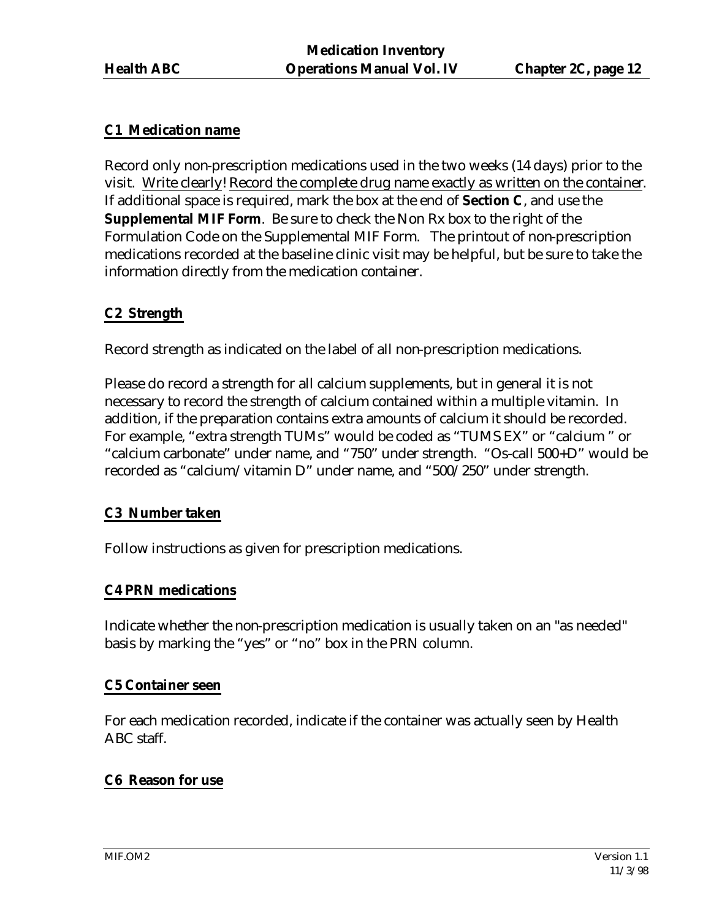## **C1 Medication name**

Record only non-prescription medications used in the two weeks (14 days) prior to the visit. Write clearly! Record the complete drug name exactly as written on the container. If additional space is required, mark the box at the end of **Section C**, and use the **Supplemental MIF Form**. Be sure to check the Non Rx box to the right of the Formulation Code on the Supplemental MIF Form. The printout of non-prescription medications recorded at the baseline clinic visit may be helpful, but be sure to take the information directly from the medication container.

## **C2 Strength**

Record strength as indicated on the label of all non-prescription medications.

Please do record a strength for all calcium supplements, but in general it is not necessary to record the strength of calcium contained within a multiple vitamin. In addition, if the preparation contains extra amounts of calcium it should be recorded. For example, "extra strength TUMs" would be coded as "TUMS EX" or "calcium " or "calcium carbonate" under name, and "750" under strength. "Os-call 500+D" would be recorded as "calcium/vitamin D" under name, and "500/250" under strength.

#### **C3 Number taken**

Follow instructions as given for prescription medications.

## **C4 PRN medications**

Indicate whether the non-prescription medication is usually taken on an "as needed" basis by marking the "yes" or "no" box in the PRN column.

#### **C5 Container seen**

For each medication recorded, indicate if the container was actually seen by Health ABC staff.

## **C6 Reason for use**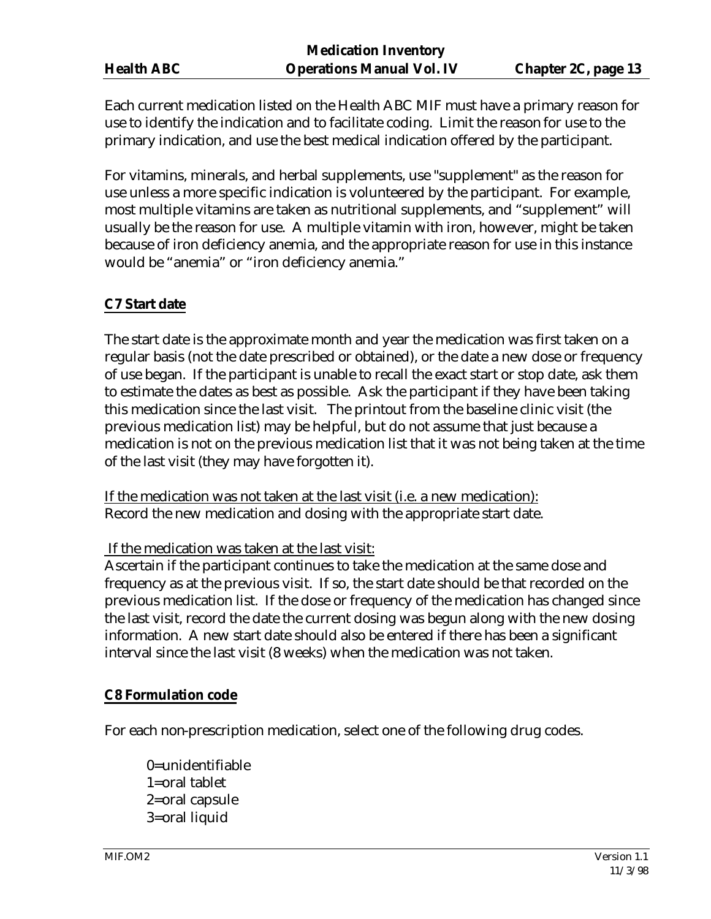Each current medication listed on the Health ABC MIF must have a primary reason for use to identify the indication and to facilitate coding. Limit the reason for use to the primary indication, and use the best medical indication offered by the participant.

For vitamins, minerals, and herbal supplements, use "supplement" as the reason for use unless a more specific indication is volunteered by the participant. For example, most multiple vitamins are taken as nutritional supplements, and "supplement" will usually be the reason for use. A multiple vitamin with iron, however, might be taken because of iron deficiency anemia, and the appropriate reason for use in this instance would be "anemia" or "iron deficiency anemia."

## **C7 Start date**

The start date is the approximate month and year the medication was first taken on a regular basis (not the date prescribed or obtained), or the date a new dose or frequency of use began. If the participant is unable to recall the exact start or stop date, ask them to estimate the dates as best as possible. Ask the participant if they have been taking this medication since the last visit. The printout from the baseline clinic visit (the previous medication list) may be helpful, but do not assume that just because a medication is not on the previous medication list that it was not being taken at the time of the last visit (they may have forgotten it).

If the medication was not taken at the last visit (i.e. a new medication): Record the new medication and dosing with the appropriate start date.

If the medication was taken at the last visit:

Ascertain if the participant continues to take the medication at the same dose and frequency as at the previous visit. If so, the start date should be that recorded on the previous medication list. If the dose or frequency of the medication has changed since the last visit, record the date the current dosing was begun along with the new dosing information. A new start date should also be entered if there has been a significant interval since the last visit (8 weeks) when the medication was not taken.

#### **C8 Formulation code**

For each non-prescription medication, select one of the following drug codes.

0=unidentifiable 1=oral tablet 2=oral capsule 3=oral liquid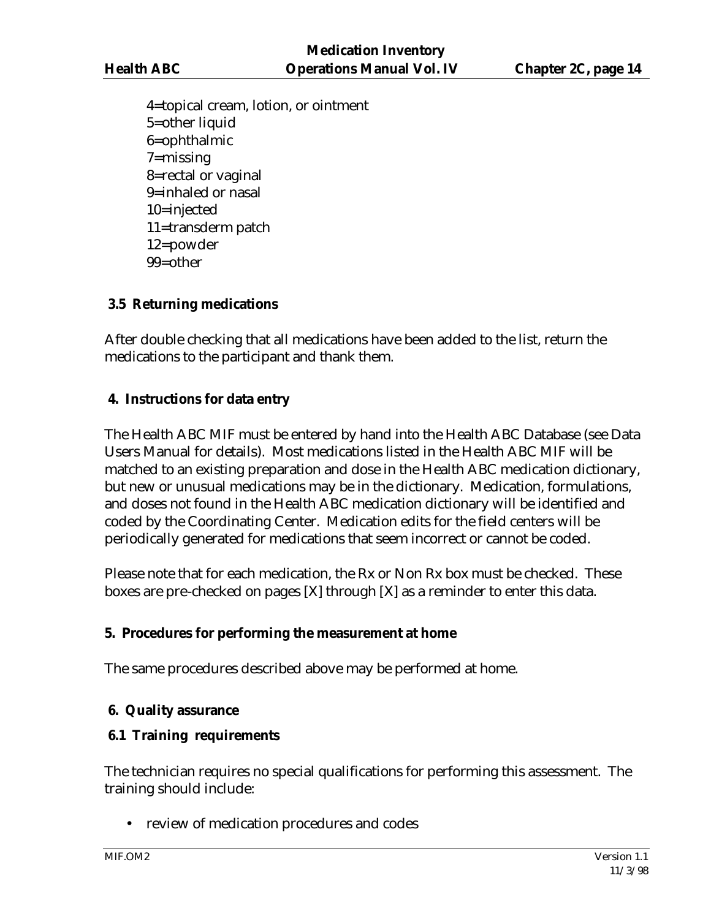4=topical cream, lotion, or ointment 5=other liquid 6=ophthalmic 7=missing 8=rectal or vaginal 9=inhaled or nasal 10=injected 11=transderm patch 12=powder 99=other

## **3.5 Returning medications**

After double checking that all medications have been added to the list, return the medications to the participant and thank them.

## **4. Instructions for data entry**

The Health ABC MIF must be entered by hand into the Health ABC Database (see Data Users Manual for details). Most medications listed in the Health ABC MIF will be matched to an existing preparation and dose in the Health ABC medication dictionary, but new or unusual medications may be in the dictionary. Medication, formulations, and doses not found in the Health ABC medication dictionary will be identified and coded by the Coordinating Center. Medication edits for the field centers will be periodically generated for medications that seem incorrect or cannot be coded.

Please note that for each medication, the Rx or Non Rx box must be checked. These boxes are pre-checked on pages [X] through [X] as a reminder to enter this data.

## **5. Procedures for performing the measurement at home**

The same procedures described above may be performed at home.

# **6. Quality assurance**

## **6.1 Training requirements**

The technician requires no special qualifications for performing this assessment. The training should include:

• review of medication procedures and codes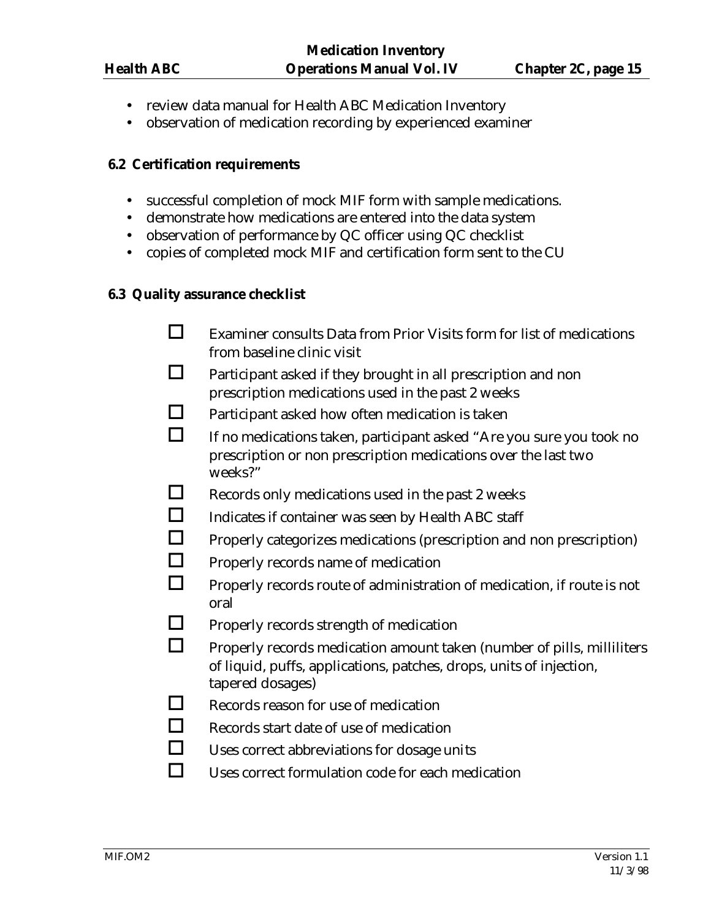- review data manual for Health ABC Medication Inventory
- observation of medication recording by experienced examiner

#### **6.2 Certification requirements**

- successful completion of mock MIF form with sample medications.
- demonstrate how medications are entered into the data system
- observation of performance by QC officer using QC checklist
- copies of completed mock MIF and certification form sent to the CU

#### **6.3 Quality assurance checklist**

- $\Box$  Examiner consults Data from Prior Visits form for list of medications from baseline clinic visit
- $\Box$  Participant asked if they brought in all prescription and non prescription medications used in the past 2 weeks
- $\Box$  Participant asked how often medication is taken
- $\Box$  If no medications taken, participant asked "Are you sure you took no prescription or non prescription medications over the last two weeks?"
- $\Box$  Records only medications used in the past 2 weeks
- $\Box$  Indicates if container was seen by Health ABC staff
- $\Box$  Properly categorizes medications (prescription and non prescription)
- $\Box$  Properly records name of medication
- $\Box$  Properly records route of administration of medication, if route is not oral
- $\Box$  Properly records strength of medication
- $\Box$  Properly records medication amount taken (number of pills, milliliters of liquid, puffs, applications, patches, drops, units of injection, tapered dosages)
- $\Box$  Records reason for use of medication
- $\Box$  Records start date of use of medication
- $\Box$  Uses correct abbreviations for dosage units
- $\Box$  Uses correct formulation code for each medication